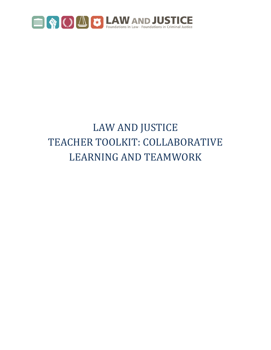

## LAW AND JUSTICE TEACHER TOOLKIT: COLLABORATIVE LEARNING AND TEAMWORK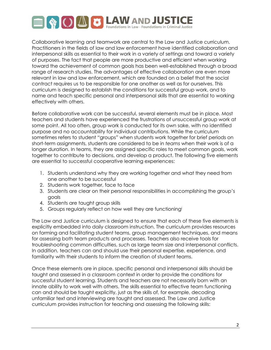

Collaborative learning and teamwork are central to the Law and Justice curriculum. Practitioners in the fields of law and law enforcement have identified collaboration and interpersonal skills as essential to their work in a variety of settings and toward a variety of purposes. The fact that people are more productive and efficient when working toward the achievement of common goals has been well-established through a broad range of research studies. The advantages of effective collaboration are even more relevant in law and law enforcement, which are founded on a belief that the social contract requires us to be responsible for one another as well as for ourselves. This curriculum is designed to establish the conditions for successful group work, and to name and teach specific personal and interpersonal skills that are essential to working effectively with others.

Before collaborative work can be successful, several elements must be in place. Most teachers and students have experienced the frustrations of unsuccessful group work at some point. All too often, group work is conducted for its own sake, with no identified purpose and no accountability for individual contributions. While the curriculum sometimes refers to student "groups" when students work together for brief periods on short-term assignments, students are considered to be in *teams* when their work is of a longer duration. In teams, they are assigned specific roles to meet common goals, work together to contribute to decisions, and develop a product. The following five elements are essential to successful cooperative learning experiences:

- 1. Students understand why they are working together and what they need from one another to be successful
- 2. Students work together, face to face
- 3. Students are clear on their personal responsibilities in accomplishing the group's goals
- 4. Students are taught group skills
- 5. Groups regularly reflect on how well they are functioningi

The Law and Justice curriculum is designed to ensure that each of these five elements is explicitly embedded into daily classroom instruction. The curriculum provides resources on forming and facilitating student teams, group management techniques, and means for assessing both team products and processes. Teachers also receive tools for troubleshooting common difficulties, such as large team size and interpersonal conflicts. In addition, teachers can and should use their personal expertise, experience, and familiarity with their students to inform the creation of student teams.

Once these elements are in place, specific personal and interpersonal skills should be taught and assessed in a classroom context in order to provide the conditions for successful student learning. Students and teachers are not necessarily born with an innate ability to work well with others. The skills essential to effective team functioning can and should be taught explicitly, just as the skills of, for example, decoding unfamiliar text and interviewing are taught and assessed. The Law and Justice curriculum provides instruction for teaching and assessing the following skills: